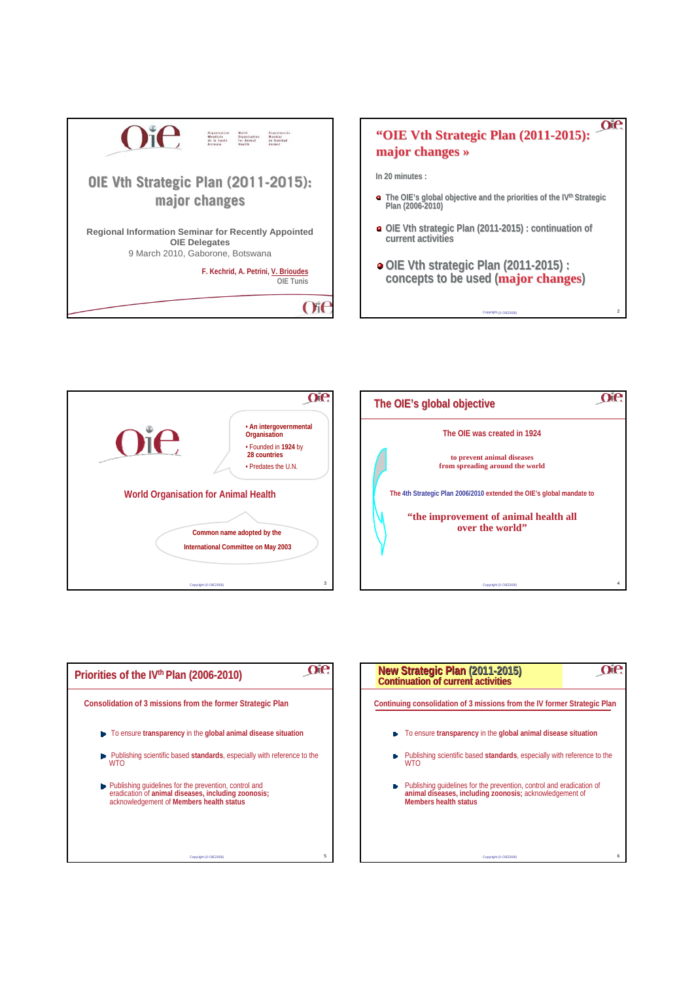

## oe **"OIE Vth Strategic Plan (2011-2015): major changes major changes »**

**In 20 minutes : In 20 minutes :**

- **The OIE's global objective and the priorities of the priorities of the IVthStrategic Strategic Plan (2006-2010)**
- **OIE Vth strategic Plan (2011-2015) : continuation of 2015) : continuation of current activities**
- **o** OIE Vth strategic Plan (2011-2015) : concepts to be used (**major changes**)

Copyright (© OIE2008) 2







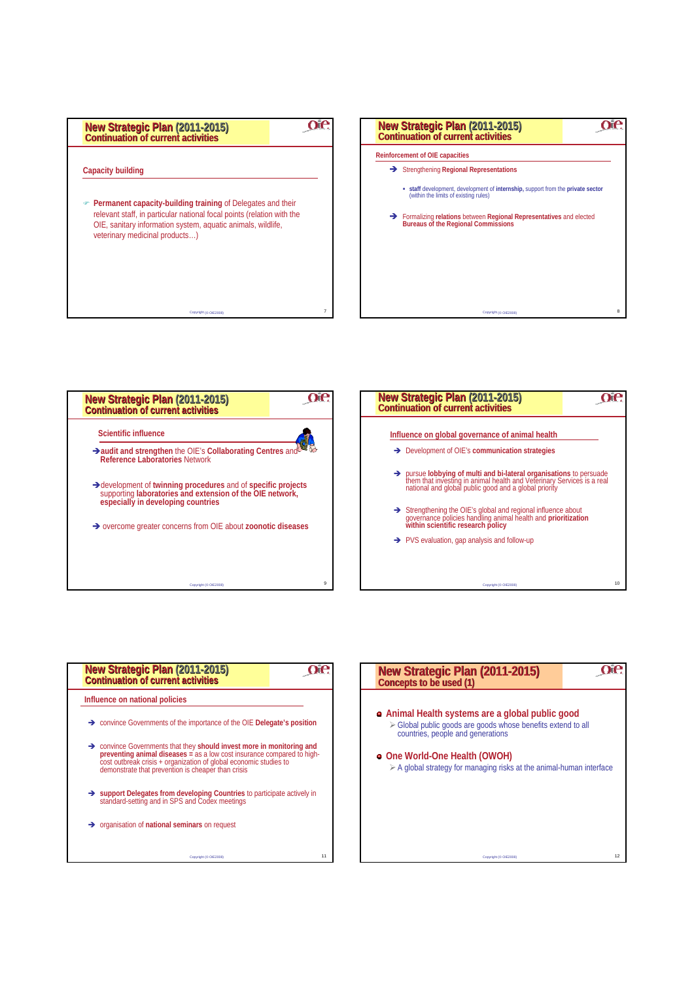





| New Strategic Plan (2011-2015)<br><b>Continuation of current activities</b>                                                                                                                                  |                                                                           |
|--------------------------------------------------------------------------------------------------------------------------------------------------------------------------------------------------------------|---------------------------------------------------------------------------|
| Influence on national policies                                                                                                                                                                               |                                                                           |
| $\rightarrow$ convince Governments of the importance of the OIE Delegate's position                                                                                                                          |                                                                           |
| $\rightarrow$ convince Governments that they should invest more in monitoring and<br>cost outbreak crisis + organization of global economic studies to<br>demonstrate that prevention is cheaper than crisis | preventing animal diseases $=\$ as a low cost insurance compared to high- |
| Support Delegates from developing Countries to participate actively in<br>standard-setting and in SPS and Codex meetings                                                                                     |                                                                           |
| $\rightarrow$ organisation of national seminars on request                                                                                                                                                   |                                                                           |
|                                                                                                                                                                                                              | 11<br>Copyright (C OIE2008)                                               |